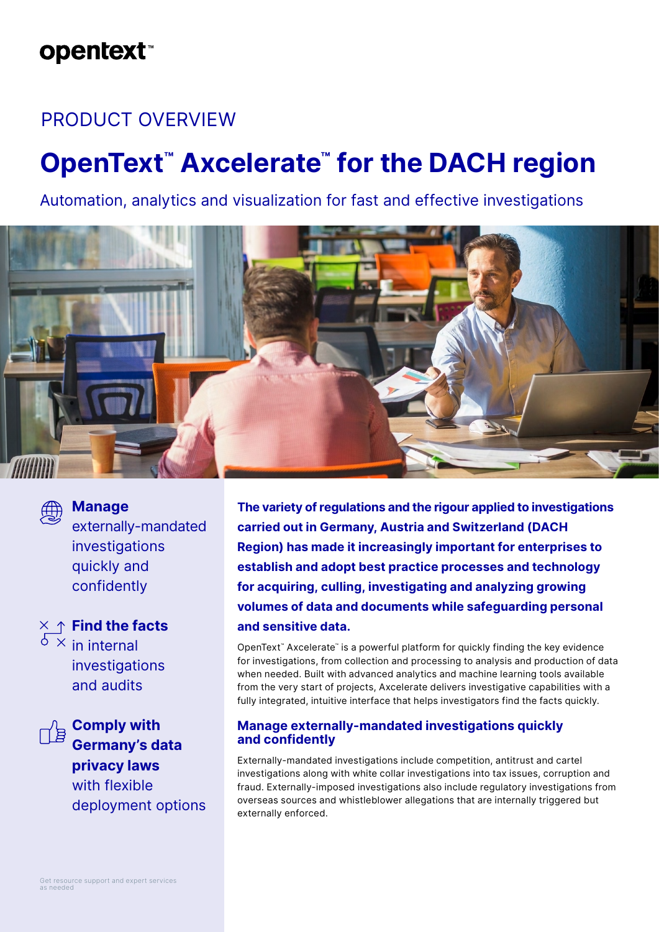### **opentext**™

### PRODUCT OVERVIEW

# **OpenText™ Axcelerate™ for the DACH region**

Automation, analytics and visualization for fast and effective investigations





#### **Manage**

externally-mandated investigations quickly and confidently

**Find the facts**  $\overline{\delta}$  × in internal investigations and audits



**Comply with Germany's data privacy laws** with flexible deployment options **The variety of regulations and the rigour applied to investigations carried out in Germany, Austria and Switzerland (DACH Region) has made it increasingly important for enterprises to establish and adopt best practice processes and technology for acquiring, culling, investigating and analyzing growing volumes of data and documents while safeguarding personal and sensitive data.** 

OpenText™ Axcelerate™ is a powerful platform for quickly finding the key evidence for investigations, from collection and processing to analysis and production of data when needed. Built with advanced analytics and machine learning tools available from the very start of projects, Axcelerate delivers investigative capabilities with a fully integrated, intuitive interface that helps investigators find the facts quickly.

#### **Manage externally-mandated investigations quickly and confidently**

Externally-mandated investigations include competition, antitrust and cartel investigations along with white collar investigations into tax issues, corruption and fraud. Externally-imposed investigations also include regulatory investigations from overseas sources and whistleblower allegations that are internally triggered but externally enforced.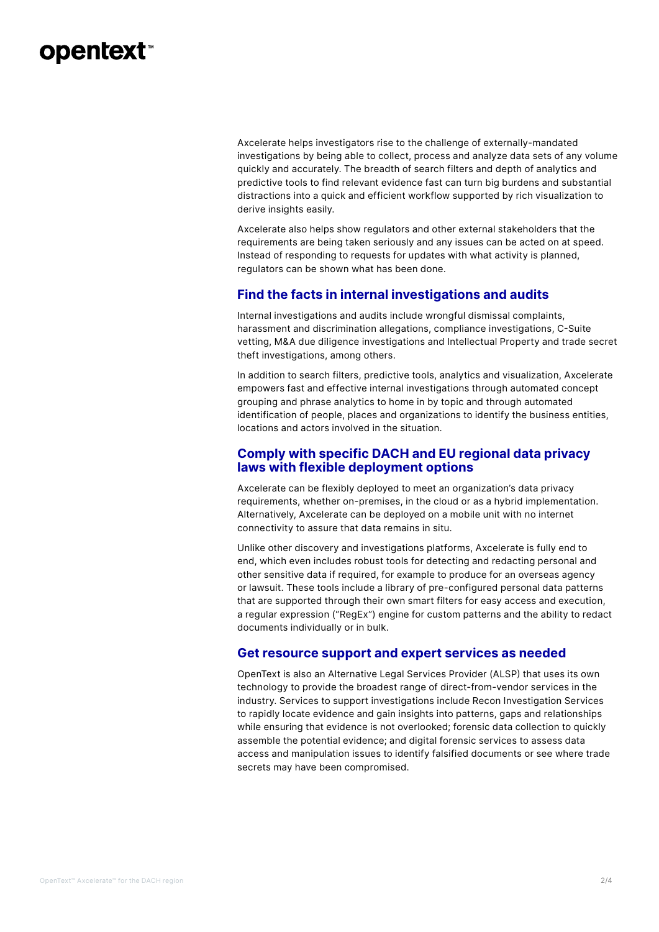### **opentext™**

Axcelerate helps investigators rise to the challenge of externally-mandated investigations by being able to collect, process and analyze data sets of any volume quickly and accurately. The breadth of search filters and depth of analytics and predictive tools to find relevant evidence fast can turn big burdens and substantial distractions into a quick and efficient workflow supported by rich visualization to derive insights easily.

Axcelerate also helps show regulators and other external stakeholders that the requirements are being taken seriously and any issues can be acted on at speed. Instead of responding to requests for updates with what activity is planned, regulators can be shown what has been done.

#### **Find the facts in internal investigations and audits**

Internal investigations and audits include wrongful dismissal complaints, harassment and discrimination allegations, compliance investigations, C-Suite vetting, M&A due diligence investigations and Intellectual Property and trade secret theft investigations, among others.

In addition to search filters, predictive tools, analytics and visualization, Axcelerate empowers fast and effective internal investigations through automated concept grouping and phrase analytics to home in by topic and through automated identification of people, places and organizations to identify the business entities, locations and actors involved in the situation.

#### **Comply with specific DACH and EU regional data privacy laws with flexible deployment options**

Axcelerate can be flexibly deployed to meet an organization's data privacy requirements, whether on-premises, in the cloud or as a hybrid implementation. Alternatively, Axcelerate can be deployed on a mobile unit with no internet connectivity to assure that data remains in situ.

Unlike other discovery and investigations platforms, Axcelerate is fully end to end, which even includes robust tools for detecting and redacting personal and other sensitive data if required, for example to produce for an overseas agency or lawsuit. These tools include a library of pre-configured personal data patterns that are supported through their own smart filters for easy access and execution, a regular expression ("RegEx") engine for custom patterns and the ability to redact documents individually or in bulk.

#### **Get resource support and expert services as needed**

OpenText is also an Alternative Legal Services Provider (ALSP) that uses its own technology to provide the broadest range of direct-from-vendor services in the industry. Services to support investigations include Recon Investigation Services to rapidly locate evidence and gain insights into patterns, gaps and relationships while ensuring that evidence is not overlooked; forensic data collection to quickly assemble the potential evidence; and digital forensic services to assess data access and manipulation issues to identify falsified documents or see where trade secrets may have been compromised.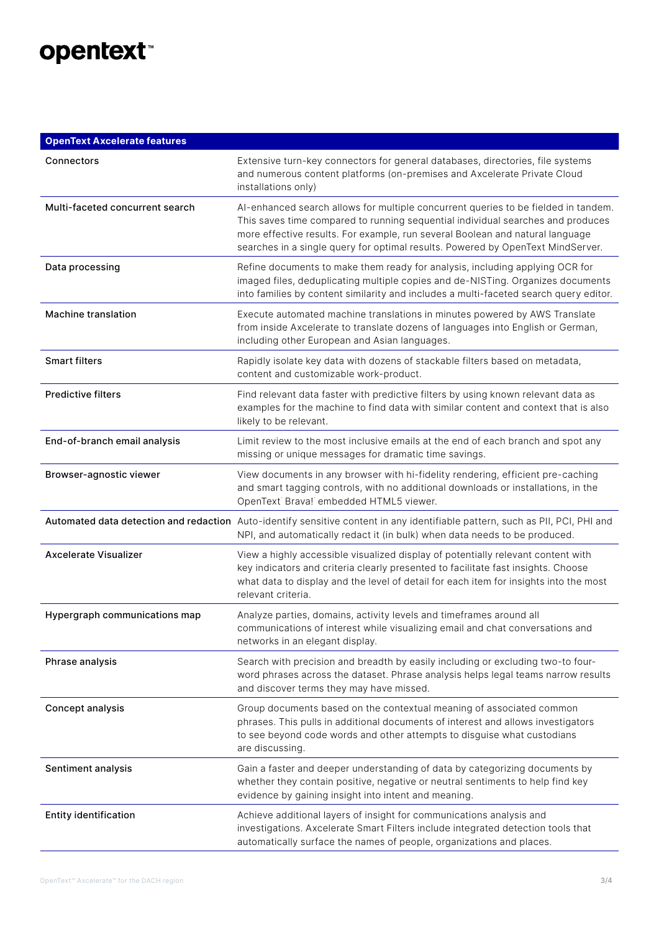## opentext<sup>\*</sup>

| <b>OpenText Axcelerate features</b> |                                                                                                                                                                                                                                                                                                                                           |
|-------------------------------------|-------------------------------------------------------------------------------------------------------------------------------------------------------------------------------------------------------------------------------------------------------------------------------------------------------------------------------------------|
| Connectors                          | Extensive turn-key connectors for general databases, directories, file systems<br>and numerous content platforms (on-premises and Axcelerate Private Cloud<br>installations only)                                                                                                                                                         |
| Multi-faceted concurrent search     | Al-enhanced search allows for multiple concurrent queries to be fielded in tandem.<br>This saves time compared to running sequential individual searches and produces<br>more effective results. For example, run several Boolean and natural language<br>searches in a single query for optimal results. Powered by OpenText MindServer. |
| Data processing                     | Refine documents to make them ready for analysis, including applying OCR for<br>imaged files, deduplicating multiple copies and de-NISTing. Organizes documents<br>into families by content similarity and includes a multi-faceted search query editor.                                                                                  |
| <b>Machine translation</b>          | Execute automated machine translations in minutes powered by AWS Translate<br>from inside Axcelerate to translate dozens of languages into English or German,<br>including other European and Asian languages.                                                                                                                            |
| <b>Smart filters</b>                | Rapidly isolate key data with dozens of stackable filters based on metadata,<br>content and customizable work-product.                                                                                                                                                                                                                    |
| <b>Predictive filters</b>           | Find relevant data faster with predictive filters by using known relevant data as<br>examples for the machine to find data with similar content and context that is also<br>likely to be relevant.                                                                                                                                        |
| End-of-branch email analysis        | Limit review to the most inclusive emails at the end of each branch and spot any<br>missing or unique messages for dramatic time savings.                                                                                                                                                                                                 |
| Browser-agnostic viewer             | View documents in any browser with hi-fidelity rendering, efficient pre-caching<br>and smart tagging controls, with no additional downloads or installations, in the<br>OpenText Brava! embedded HTML5 viewer.                                                                                                                            |
|                                     | Automated data detection and redaction Auto-identify sensitive content in any identifiable pattern, such as PII, PCI, PHI and<br>NPI, and automatically redact it (in bulk) when data needs to be produced.                                                                                                                               |
| <b>Axcelerate Visualizer</b>        | View a highly accessible visualized display of potentially relevant content with<br>key indicators and criteria clearly presented to facilitate fast insights. Choose<br>what data to display and the level of detail for each item for insights into the most<br>relevant criteria.                                                      |
| Hypergraph communications map       | Analyze parties, domains, activity levels and timeframes around all<br>communications of interest while visualizing email and chat conversations and<br>networks in an elegant display.                                                                                                                                                   |
| Phrase analysis                     | Search with precision and breadth by easily including or excluding two-to four-<br>word phrases across the dataset. Phrase analysis helps legal teams narrow results<br>and discover terms they may have missed.                                                                                                                          |
| Concept analysis                    | Group documents based on the contextual meaning of associated common<br>phrases. This pulls in additional documents of interest and allows investigators<br>to see beyond code words and other attempts to disguise what custodians<br>are discussing.                                                                                    |
| Sentiment analysis                  | Gain a faster and deeper understanding of data by categorizing documents by<br>whether they contain positive, negative or neutral sentiments to help find key<br>evidence by gaining insight into intent and meaning.                                                                                                                     |
| <b>Entity identification</b>        | Achieve additional layers of insight for communications analysis and<br>investigations. Axcelerate Smart Filters include integrated detection tools that<br>automatically surface the names of people, organizations and places.                                                                                                          |